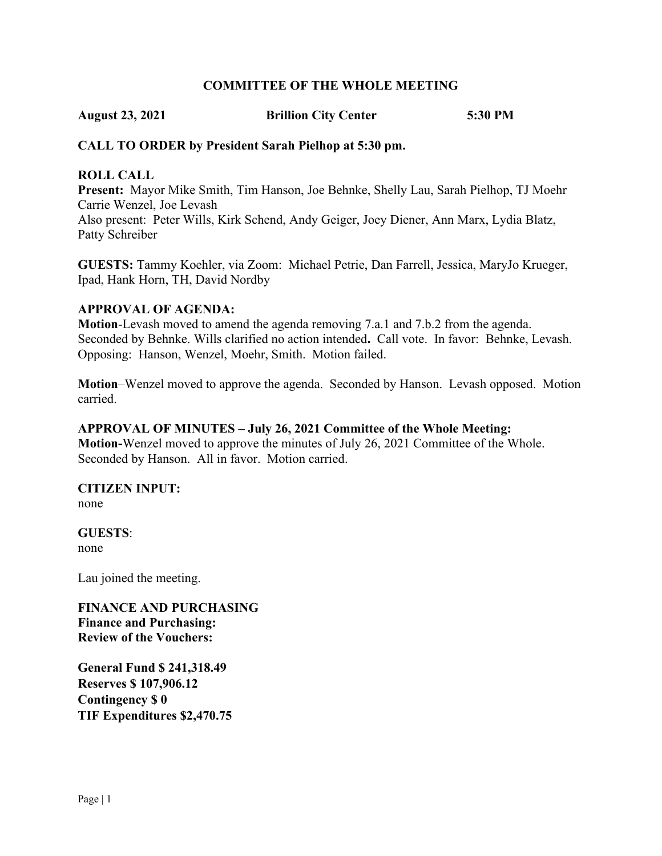#### **COMMITTEE OF THE WHOLE MEETING**

**August 23, 2021 Brillion City Center 5:30 PM**

### **CALL TO ORDER by President Sarah Pielhop at 5:30 pm.**

### **ROLL CALL**

**Present:** Mayor Mike Smith, Tim Hanson, Joe Behnke, Shelly Lau, Sarah Pielhop, TJ Moehr Carrie Wenzel, Joe Levash

Also present: Peter Wills, Kirk Schend, Andy Geiger, Joey Diener, Ann Marx, Lydia Blatz, Patty Schreiber

**GUESTS:** Tammy Koehler, via Zoom: Michael Petrie, Dan Farrell, Jessica, MaryJo Krueger, Ipad, Hank Horn, TH, David Nordby

#### **APPROVAL OF AGENDA:**

**Motion**-Levash moved to amend the agenda removing 7.a.1 and 7.b.2 from the agenda. Seconded by Behnke. Wills clarified no action intended**.** Call vote. In favor: Behnke, Levash. Opposing: Hanson, Wenzel, Moehr, Smith. Motion failed.

**Motion**–Wenzel moved to approve the agenda. Seconded by Hanson. Levash opposed. Motion carried.

#### **APPROVAL OF MINUTES – July 26, 2021 Committee of the Whole Meeting:**

**Motion-**Wenzel moved to approve the minutes of July 26, 2021 Committee of the Whole. Seconded by Hanson. All in favor. Motion carried.

# **CITIZEN INPUT:**

none

**GUESTS**: none

Lau joined the meeting.

**FINANCE AND PURCHASING Finance and Purchasing: Review of the Vouchers:**

**General Fund \$ 241,318.49 Reserves \$ 107,906.12 Contingency \$ 0 TIF Expenditures \$2,470.75**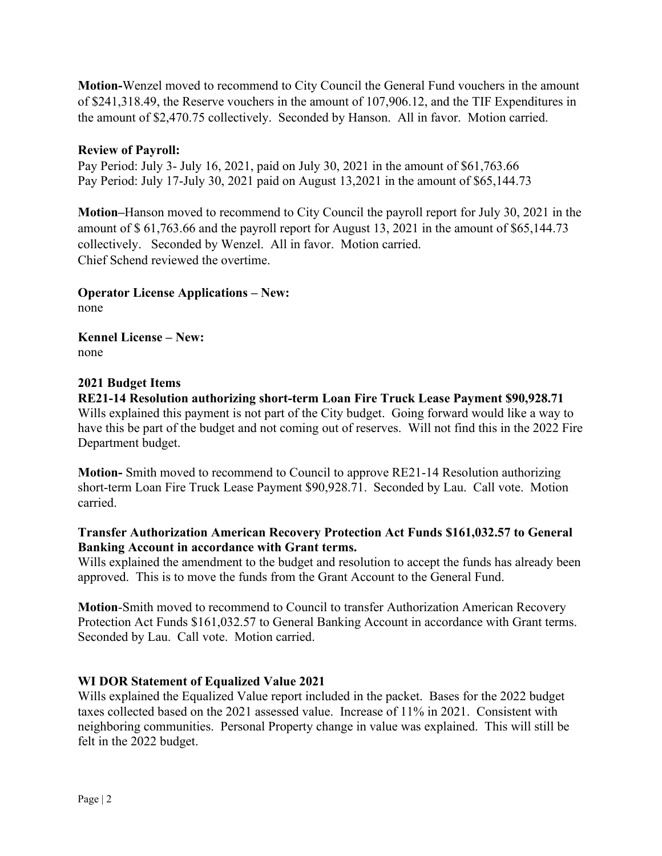**Motion-**Wenzel moved to recommend to City Council the General Fund vouchers in the amount of \$241,318.49, the Reserve vouchers in the amount of 107,906.12, and the TIF Expenditures in the amount of \$2,470.75 collectively. Seconded by Hanson. All in favor. Motion carried.

## **Review of Payroll:**

Pay Period: July 3- July 16, 2021, paid on July 30, 2021 in the amount of \$61,763.66 Pay Period: July 17-July 30, 2021 paid on August 13,2021 in the amount of \$65,144.73

**Motion–**Hanson moved to recommend to City Council the payroll report for July 30, 2021 in the amount of \$ 61,763.66 and the payroll report for August 13, 2021 in the amount of \$65,144.73 collectively. Seconded by Wenzel. All in favor. Motion carried. Chief Schend reviewed the overtime.

**Operator License Applications – New:** none

**Kennel License – New:**  none

# **2021 Budget Items**

**RE21-14 Resolution authorizing short-term Loan Fire Truck Lease Payment \$90,928.71** Wills explained this payment is not part of the City budget. Going forward would like a way to have this be part of the budget and not coming out of reserves. Will not find this in the 2022 Fire Department budget.

**Motion-** Smith moved to recommend to Council to approve RE21-14 Resolution authorizing short-term Loan Fire Truck Lease Payment \$90,928.71. Seconded by Lau. Call vote. Motion carried.

## **Transfer Authorization American Recovery Protection Act Funds \$161,032.57 to General Banking Account in accordance with Grant terms.**

Wills explained the amendment to the budget and resolution to accept the funds has already been approved. This is to move the funds from the Grant Account to the General Fund.

**Motion**-Smith moved to recommend to Council to transfer Authorization American Recovery Protection Act Funds \$161,032.57 to General Banking Account in accordance with Grant terms. Seconded by Lau. Call vote. Motion carried.

# **WI DOR Statement of Equalized Value 2021**

Wills explained the Equalized Value report included in the packet. Bases for the 2022 budget taxes collected based on the 2021 assessed value. Increase of 11% in 2021. Consistent with neighboring communities. Personal Property change in value was explained. This will still be felt in the 2022 budget.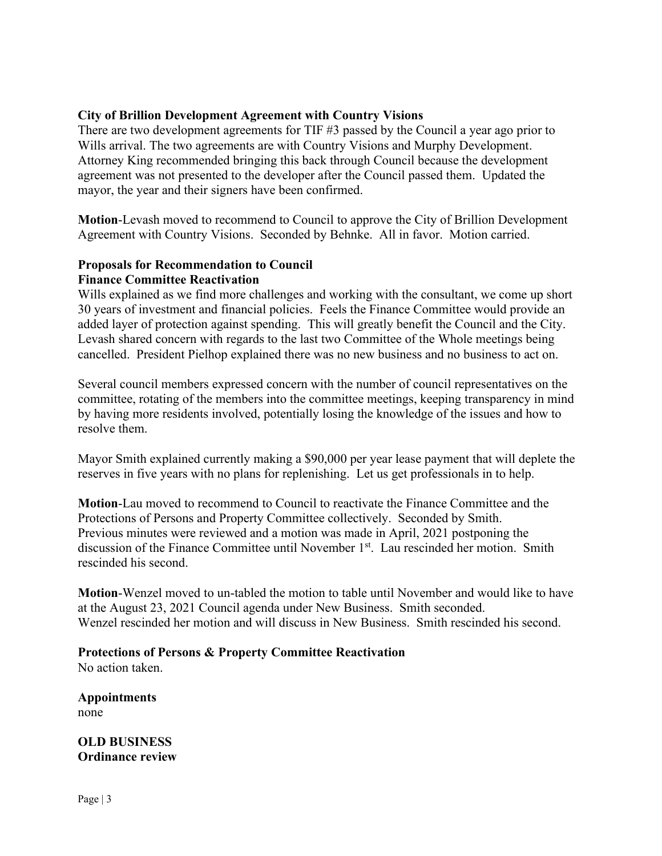## **City of Brillion Development Agreement with Country Visions**

There are two development agreements for TIF #3 passed by the Council a year ago prior to Wills arrival. The two agreements are with Country Visions and Murphy Development. Attorney King recommended bringing this back through Council because the development agreement was not presented to the developer after the Council passed them. Updated the mayor, the year and their signers have been confirmed.

**Motion**-Levash moved to recommend to Council to approve the City of Brillion Development Agreement with Country Visions. Seconded by Behnke. All in favor. Motion carried.

## **Proposals for Recommendation to Council Finance Committee Reactivation**

Wills explained as we find more challenges and working with the consultant, we come up short 30 years of investment and financial policies. Feels the Finance Committee would provide an added layer of protection against spending. This will greatly benefit the Council and the City. Levash shared concern with regards to the last two Committee of the Whole meetings being cancelled. President Pielhop explained there was no new business and no business to act on.

Several council members expressed concern with the number of council representatives on the committee, rotating of the members into the committee meetings, keeping transparency in mind by having more residents involved, potentially losing the knowledge of the issues and how to resolve them.

Mayor Smith explained currently making a \$90,000 per year lease payment that will deplete the reserves in five years with no plans for replenishing. Let us get professionals in to help.

**Motion**-Lau moved to recommend to Council to reactivate the Finance Committee and the Protections of Persons and Property Committee collectively. Seconded by Smith. Previous minutes were reviewed and a motion was made in April, 2021 postponing the discussion of the Finance Committee until November 1<sup>st</sup>. Lau rescinded her motion. Smith rescinded his second.

**Motion**-Wenzel moved to un-tabled the motion to table until November and would like to have at the August 23, 2021 Council agenda under New Business. Smith seconded. Wenzel rescinded her motion and will discuss in New Business. Smith rescinded his second.

#### **Protections of Persons & Property Committee Reactivation**

No action taken.

**Appointments** none

**OLD BUSINESS Ordinance review**